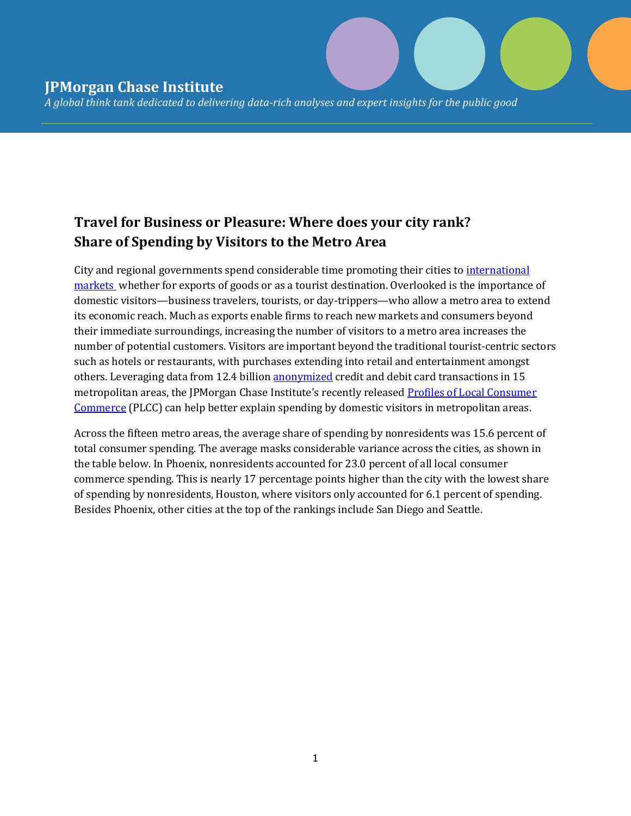*A global think tank dedicated to delivering data-rich analyses and expert insights for the public good* 

## **Travel for Business or Pleasure: Where does your city rank? Share of Spending by Visitors to the Metro Area**

City and regional governments spend considerable time promoting their cities t[o international](http://www.brookings.edu/blogs/the-avenue/posts/2015/12/29-metro-areas-export-fdi-donahue-mcdearman)  [markets](http://www.brookings.edu/blogs/the-avenue/posts/2015/12/29-metro-areas-export-fdi-donahue-mcdearman) whether for exports of goods or as a tourist destination. Overlooked is the importance of domestic visitors—business travelers, tourists, or day-trippers—who allow a metro area to extend its economic reach. Much as exports enable firms to reach new markets and consumers beyond their immediate surroundings, increasing the number of visitors to a metro area increases the number of potential customers. Visitors are important beyond the traditional tourist-centric sectors such as hotels or restaurants, with purchases extending into retail and entertainment amongst others. Leveraging data from 12.4 billion [anonymized](https://www.jpmorganchase.com/corporate/institute/data-privacy.htm) credit and debit card transactions in 15 metropolitan areas, the JPMorgan Chase Institute's recently release[d Profiles of Local Consumer](https://www.jpmorganchase.com/corporate/institute/report-profiles-of-local-commerce.htm)  [Commerce](https://www.jpmorganchase.com/corporate/institute/report-profiles-of-local-commerce.htm) (PLCC) can help better explain spending by domestic visitors in metropolitan areas.

Across the fifteen metro areas, the average share of spending by nonresidents was 15.6 percent of total consumer spending. The average masks considerable variance across the cities, as shown in the table below. In Phoenix, nonresidents accounted for 23.0 percent of all local consumer commerce spending. This is nearly 17 percentage points higher than the city with the lowest share of spending by nonresidents, Houston, where visitors only accounted for 6.1 percent of spending. Besides Phoenix, other cities at the top of the rankings include San Diego and Seattle.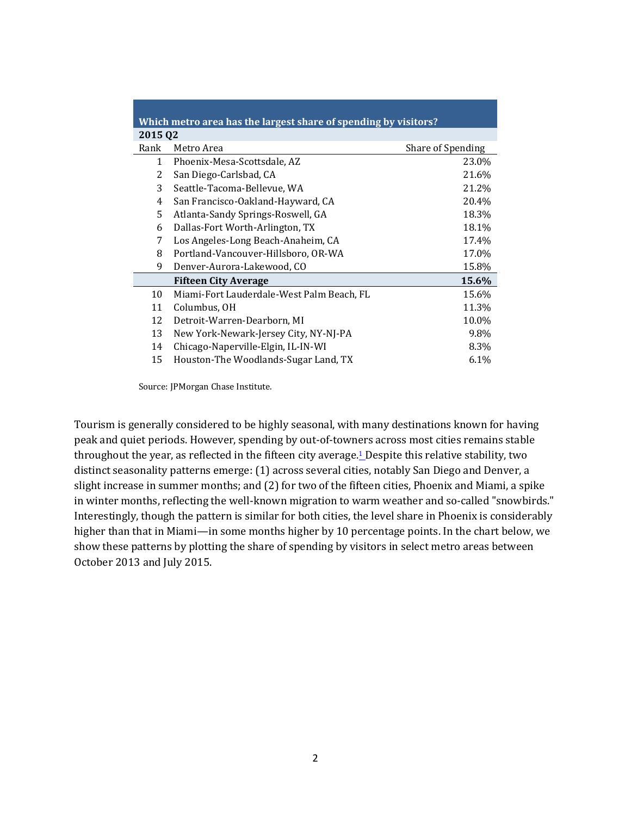| Which metro area has the largest share of spending by visitors? |                                           |                   |
|-----------------------------------------------------------------|-------------------------------------------|-------------------|
| 2015 02                                                         |                                           |                   |
| Rank                                                            | Metro Area                                | Share of Spending |
| $\mathbf{1}$                                                    | Phoenix-Mesa-Scottsdale, AZ               | 23.0%             |
| 2                                                               | San Diego-Carlsbad, CA                    | 21.6%             |
| 3                                                               | Seattle-Tacoma-Bellevue, WA               | 21.2%             |
| 4                                                               | San Francisco-Oakland-Hayward, CA         | 20.4%             |
| 5.                                                              | Atlanta-Sandy Springs-Roswell, GA         | 18.3%             |
| 6                                                               | Dallas-Fort Worth-Arlington, TX           | 18.1%             |
| 7                                                               | Los Angeles-Long Beach-Anaheim, CA        | 17.4%             |
| 8                                                               | Portland-Vancouver-Hillsboro, OR-WA       | 17.0%             |
| 9                                                               | Denver-Aurora-Lakewood, CO                | 15.8%             |
|                                                                 | <b>Fifteen City Average</b>               | 15.6%             |
| 10                                                              | Miami-Fort Lauderdale-West Palm Beach, FL | 15.6%             |
| 11                                                              | Columbus, OH                              | 11.3%             |
| 12                                                              | Detroit-Warren-Dearborn, MI               | 10.0%             |
| 13                                                              | New York-Newark-Jersey City, NY-NJ-PA     | 9.8%              |
| 14                                                              | Chicago-Naperville-Elgin, IL-IN-WI        | 8.3%              |
| 15                                                              | Houston-The Woodlands-Sugar Land, TX      | 6.1%              |

Source: JPMorgan Chase Institute.

Tourism is generally considered to be highly seasonal, with many destinations known for having peak and quiet periods. However, spending by out-of-towners across most cities remains stable throughout the year, as reflected in the fifteen city average.<sup>[1](https://www.jpmorganchase.com/corporate/institute/institute-insights.htm#travel1)</sup> Despite this relative stability, two distinct seasonality patterns emerge: (1) across several cities, notably San Diego and Denver, a slight increase in summer months; and (2) for two of the fifteen cities, Phoenix and Miami, a spike in winter months, reflecting the well-known migration to warm weather and so-called "snowbirds." Interestingly, though the pattern is similar for both cities, the level share in Phoenix is considerably higher than that in Miami—in some months higher by 10 percentage points. In the chart below, we show these patterns by plotting the share of spending by visitors in select metro areas between October 2013 and July 2015.